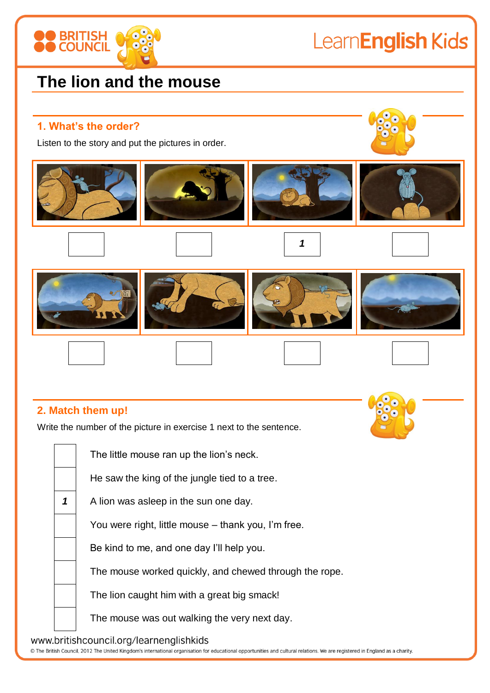

# LearnEnglish Kids

## **The lion and the mouse**

#### **1. What's the order?**

Listen to the story and put the pictures in order.



*1*



#### **2. Match them up!**

Write the number of the picture in exercise 1 next to the sentence.

The little mouse ran up the lion's neck.

He saw the king of the jungle tied to a tree.

1 A lion was asleep in the sun one day.

You were right, little mouse – thank you, I'm free.

Be kind to me, and one day I'll help you.

The mouse worked quickly, and chewed through the rope.

The lion caught him with a great big smack!

The mouse was out walking the very next day.

www.britishcouncil.org/learnenglishkids

© The British Council, 2012 The United Kingdom's international organisation for educational opportunities and cultural relations. We are registered in England as a charity.